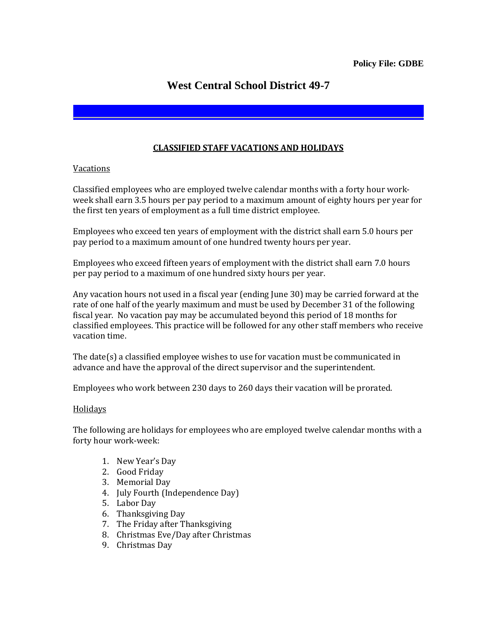## **West Central School District 49-7**

## **CLASSIFIED STAFF VACATIONS AND HOLIDAYS**

## Vacations

Classified employees who are employed twelve calendar months with a forty hour workweek shall earn 3.5 hours per pay period to a maximum amount of eighty hours per year for the first ten years of employment as a full time district employee.

Employees who exceed ten years of employment with the district shall earn 5.0 hours per pay period to a maximum amount of one hundred twenty hours per year.

Employees who exceed fifteen years of employment with the district shall earn 7.0 hours per pay period to a maximum of one hundred sixty hours per year.

Any vacation hours not used in a fiscal year (ending June 30) may be carried forward at the rate of one half of the yearly maximum and must be used by December 31 of the following fiscal year. No vacation pay may be accumulated beyond this period of 18 months for classified employees. This practice will be followed for any other staff members who receive vacation time.

The date(s) a classified employee wishes to use for vacation must be communicated in advance and have the approval of the direct supervisor and the superintendent.

Employees who work between 230 days to 260 days their vacation will be prorated.

## **Holidays**

The following are holidays for employees who are employed twelve calendar months with a forty hour work-week:

- 1. New Year's Day
- 2. Good Friday
- 3. Memorial Day
- 4. July Fourth (Independence Day)
- 5. Labor Day
- 6. Thanksgiving Day
- 7. The Friday after Thanksgiving
- 8. Christmas Eve/Day after Christmas
- 9. Christmas Day